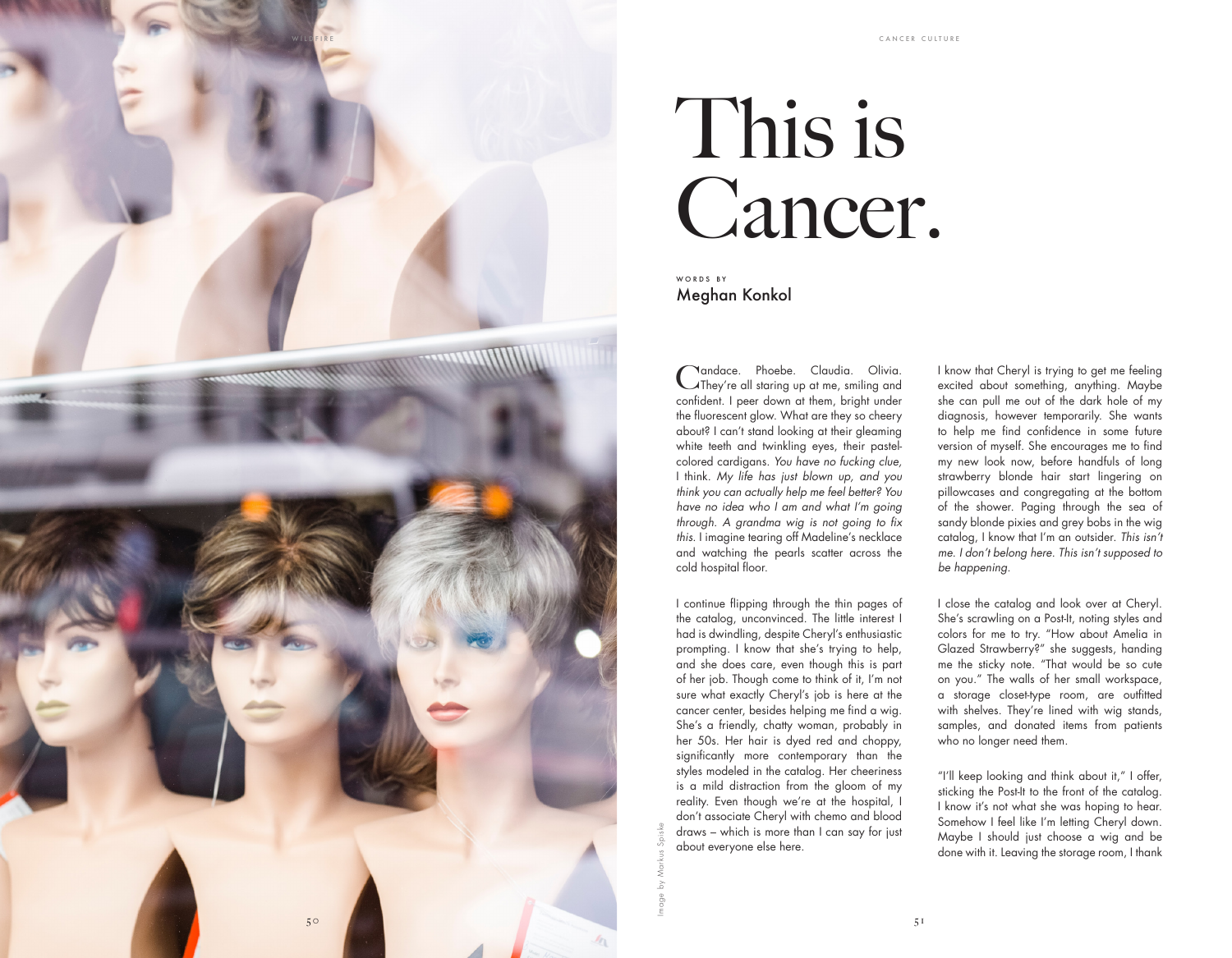

## This is Cancer.

WORDS BY Meghan Konkol

Candace. Phoebe. Claudia. Olivia.<br>Calley're all staring up at me, smiling and confident. I peer down at them, bright under the fluorescent glow. What are they so cheery about? I can't stand looking at their gleaming white teeth and twinkling eyes, their pastelcolored cardigans. *You have no fucking clue,* I think*. My life has just blown up, and you think you can actually help me feel better? You have no idea who I am and what I'm going*  through. A grandma wig is not going to fix *this* . I imagine tearing off Madeline's necklace and watching the pearls scatter across the cold hospital floor.

I continue flipping through the thin pages of the catalog, unconvinced. The little interest I had is dwindling, despite Cheryl's enthusiastic prompting. I know that she's trying to help, and she does care, even though this is part of her job. Though come to think of it, I'm not sure what exactly Cheryl's job is here at the cancer center, besides helping me find a wig. She's a friendly, chatty woman, probably in her 50s. Her hair is dyed red and choppy, significantly more contemporary than the styles modeled in the catalog. Her cheeriness is a mild distraction from the gloom of my reality. Even though we're at the hospital, I don't associate Cheryl with chemo and blood draws – which is more than I can say for just about everyone else here.

Image by Markus Spiske

I know that Cheryl is trying to get me feeling excited about something, anything. Maybe she can pull me out of the dark hole of my diagnosis, however temporarily. She wants to help me find confidence in some future version of myself. She encourages me to find my new look now, before handfuls of long strawberry blonde hair start lingering on pillowcases and congregating at the bottom of the shower. Paging through the sea of sandy blonde pixies and grey bobs in the wig catalog, I know that I'm an outsider. *This isn't me. I don't belong here. This isn't supposed to be happening.*

I close the catalog and look over at Cheryl. She's scrawling on a Post-It, noting styles and colors for me to try. "How about Amelia in Glazed Strawberry?" she suggests, handing me the sticky note. "That would be so cute on you." The walls of her small workspace, a storage closet-type room, are outfitted with shelves. They're lined with wig stands, samples, and donated items from patients who no longer need them.

"I'll keep looking and think about it," I offer, sticking the Post-It to the front of the catalog. I know it's not what she was hoping to hear. Somehow I feel like I'm letting Cheryl down. Maybe I should just choose a wig and be done with it. Leaving the storage room, I thank